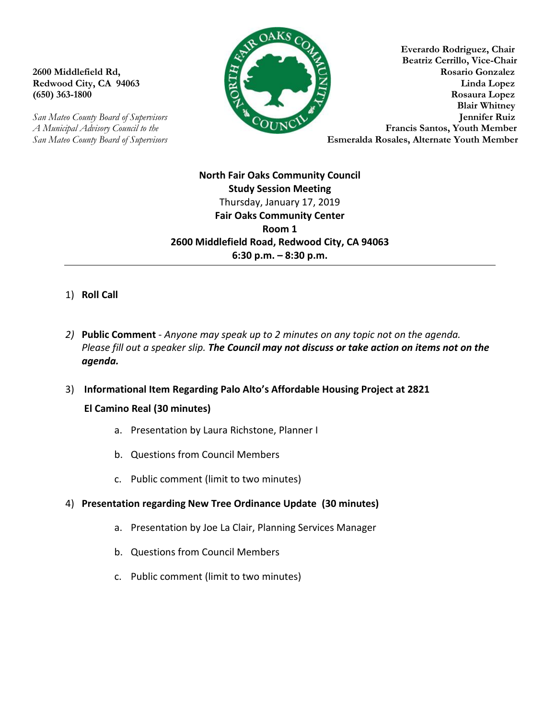*San Mateo County Board of Supervisors* **Esmeralda Rosales, Alternate Youth Member** 



**Everardo Rodriguez, Chair Beatriz Cerrillo, Vice-Chair 2600 Middlefield Rd, Rosario Gonzalez Redwood City, CA 94063 Linda Lopez (650) 363-1800 Rosaura Lopez Blair Whitney**  *San Mateo County Board of Supervisors* **Jennifer Ruiz**  *A Municipal Advisory Council to the* **Francis Santos, Youth Member Francis Santos, Youth Member** 

> **North Fair Oaks Community Council Study Session Meeting** Thursday, January 17, 2019 **Fair Oaks Community Center Room 1 2600 Middlefield Road, Redwood City, CA 94063 6:30 p.m. – 8:30 p.m.**

# 1) **Roll Call**

- *2)* **Public Comment** *Anyone may speak up to 2 minutes on any topic not on the agenda. Please fill out a speaker slip. The Council may not discuss or take action on items not on the agenda.*
- 3) **Informational Item Regarding Palo Alto's Affordable Housing Project at 2821 El Camino Real (30 minutes)**
	- a. Presentation by Laura Richstone, Planner I
	- b. Questions from Council Members
	- c. Public comment (limit to two minutes)

# 4) **Presentation regarding New Tree Ordinance Update (30 minutes)**

- a. Presentation by Joe La Clair, Planning Services Manager
- b. Questions from Council Members
- c. Public comment (limit to two minutes)